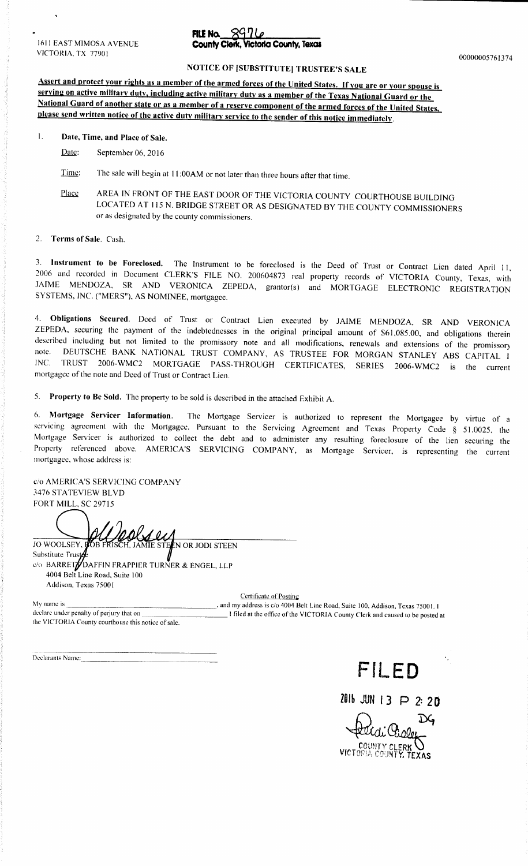1611 EAST MIMOSA AVENUE **County Clerk, Victoria County, Texas**<br>VICTORIA. TX 77901 VICTORIA, TX 77901 00000005761374

# FILE No.  $8970$

# NOTICE OF [SUBSTITUTE] TRUSTEE'S SALE

Assert and protect your rights as a member of the armed forces of the United States. If you are or your spouse is serving on active military duty, including active military duty as a member of the Texas National Guard or the National Guard of another state or as <sup>a</sup> member of <sup>a</sup> reserve component of the armed forces of the United States, please send written notice of the active duty military service to the sender of this notice immediately.

#### 1. Date, Time, and Place of Sale.

- Date: September 06, 2016
- Time: The sale will begin at 11:00AM or not later than three hours after that time.
- Place AREA IN FRONT OF THE EAST DOOR OF THE VICTORIA COUNTY COURTHOUSE BUILDING LOCATED AT 115 N. BRIDGE STREET OR AS DESIGNATED BY THE COUNTY COMMISSIONERS or as designated by the county commissioners.

2. Terms of Sale. Cash.

3. Instrument to be Foreclosed. The Instrument to be foreclosed is the Deed of Trust or Contract Lien dated April 11, 2006 and recorded in Document CLERK'S FILE NO. 200604873 real property records of VICTORIA County, Texas, with JAIME MENDOZA, SR AND VERONICA ZEPEDA, grantor(s) and MORTGAGE ELECTRONIC REGISTRATION SYSTEMS, INC. ("MERS"), AS NOMINEE, mortgagee.

4. Obligations Secured. Deed of Trust or Contract Lien executed by JAIME MENDOZA, SR AND VERONICA ZEPEDA, securing the payment of the indebtednesses in the original principal amount of \$61,085.00, and obligations therein described including but not limited to the promissory note and all modifications, renewals and exte nde. DEUTSCHE BANK NATIONAL TRUST COMPANY, AS TRUSTEE FOR MORGAN STANLEY ABS CAPITAL I TRUST 2006-WMC2 MORTGAGE PASS-THROUGH CERTIFICATES, SERIES 2006-WMC2 is the current mortgagee of the note and Deed of Trust or Contract Lien.

5. Property to Be Sold. The property to be sold is described in the attached Exhibit A.

6. Mortgage Servicer Information. The Mortgage Servicer is authorized to represent the Mortgagee by virtue of <sup>a</sup> servicing agreement with the Mortgagee. Pursuant to the Servicing Agreement and Texas Property Code § 51.0025, the Mortgage Servicer is authorized to collect the debt and to administer any resulting foreclosure of the lien securing the Property referenced above. AMERICA'S SERVICING COMPANY, as Mortgage Servicer, is representing the current mortgagee, whose address is:

c/o AMERICA'S SERVICING COMPANY 3476 STATEVIEW BLVD FORT MILL, SC 29715

*<u>OOLS</u>* 

JO WOOLSEY, FOB FRISCH, JAMIE STEEN OR JODI STEEN Substitute Trust c/o BARRET/DAFFIN FRAPPIER TURNER & ENGEL, LLP 4004 Belt Line Road, Suite 100 Addison, Texas 75001

Certificate of Posting-

My name is **And My name is and my address is c/o** 4004 Belt Line Road, Suite 100, Addison, Texas 75001. I declare under penalty of perjury that on **I** filed at the office of the VICTORIA County Clerk and caused to be noste I filed at the office of the VICTORIA County Clerk and caused to be posted at the VICTORIA County courthouse this notice of sale.

Declarants Name:



# <sup>1016</sup> JUN 13 P 2: 20

 $\mathbf{D}$ VICTORIA COUNTY. TEXAS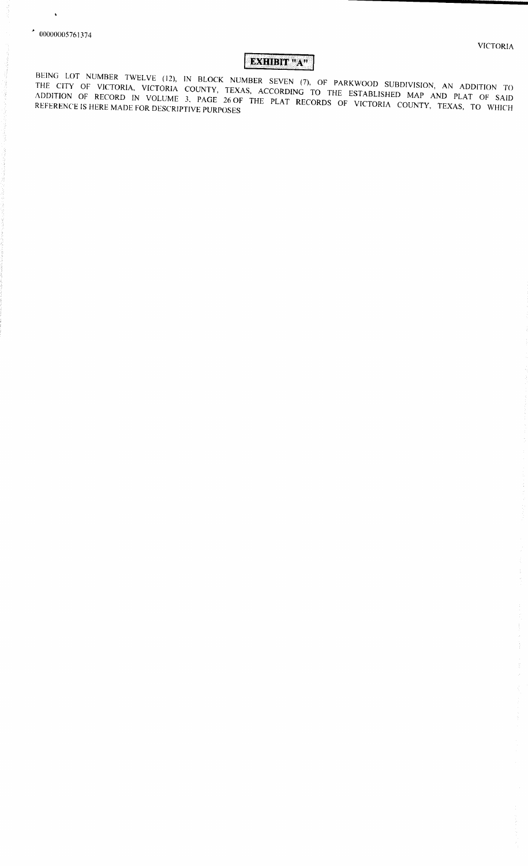$\ddot{\phantom{0}}$ 

 $\frac{1}{2}$ 

vimmaiimmumial

# EXHIBIT "A"

BEING LOT NUMBER TWELVE (12), IN BLOCK NUMBER SEVEN (7).<br>THE CITY OF WOTODAY THE CITY OF VICTORIA, VICTORIA COUNTY, TEXAS, ACCORDING TO THE ESTABLISHED MAD AND PLUS TO ADDITION OF RECORD IN VOLUME 3, PAGE 26 OF THE PLAT RECORDS OF VICTORIA COUNTY, TEXAS, TO WHICH<br>REFERENCE IS HERE MADE FOR DESCRIPTIVE PURPOSES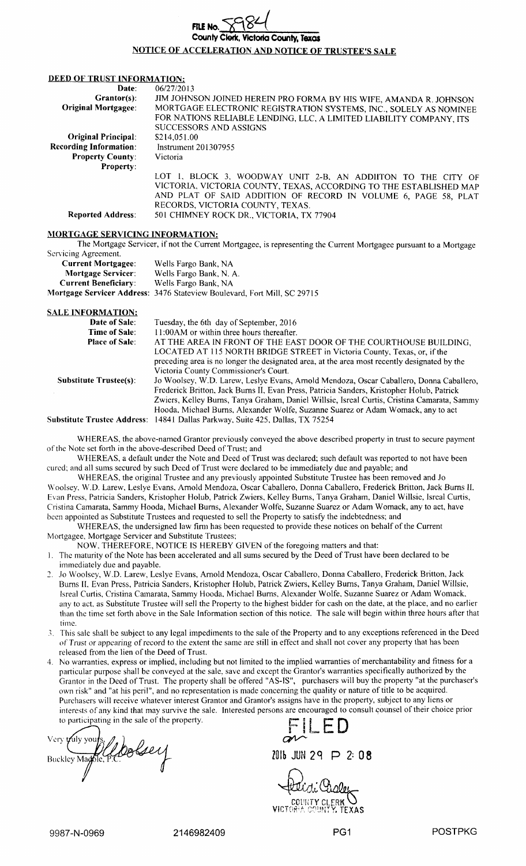| FILE NO. $\nabla$ 984                                      |  |
|------------------------------------------------------------|--|
| County Clerk, Victoria County, Texas                       |  |
| <u>NOTICE OF ACCELERATION AND NOTICE OF TRUSTEE'S SALF</u> |  |

#### DEED OF TRUST INFORMATION:

| Date:                         | 06/27/2013                                                                                                                                                                                           |
|-------------------------------|------------------------------------------------------------------------------------------------------------------------------------------------------------------------------------------------------|
| $Grantor(s):$                 | JIM JOHNSON JOINED HEREIN PRO FORMA BY HIS WIFE, AMANDA R. JOHNSON                                                                                                                                   |
| <b>Original Mortgagee:</b>    | MORTGAGE ELECTRONIC REGISTRATION SYSTEMS, INC., SOLELY AS NOMINEE                                                                                                                                    |
|                               | FOR NATIONS RELIABLE LENDING, LLC, A LIMITED LIABILITY COMPANY, ITS                                                                                                                                  |
|                               | <b>SUCCESSORS AND ASSIGNS</b>                                                                                                                                                                        |
| <b>Original Principal:</b>    | \$214,051.00                                                                                                                                                                                         |
| <b>Recording Information:</b> | Instrument 201307955                                                                                                                                                                                 |
| <b>Property County:</b>       | Victoria                                                                                                                                                                                             |
| <b>Property:</b>              |                                                                                                                                                                                                      |
|                               | LOT 1, BLOCK 3, WOODWAY UNIT 2-B, AN ADDIITON TO THE CITY OF<br>VICTORIA, VICTORIA COUNTY, TEXAS, ACCORDING TO THE ESTABLISHED MAP<br>AND PLAT OF SAID ADDITION OF RECORD IN VOLUME 6, PAGE 58, PLAT |
|                               | RECORDS, VICTORIA COUNTY, TEXAS.                                                                                                                                                                     |
| <b>Reported Address:</b>      | 501 CHIMNEY ROCK DR., VICTORIA, TX 77904                                                                                                                                                             |
|                               |                                                                                                                                                                                                      |

#### MORTGAGE SERVICING INFORMATION:

The Mortgage Servicer, if not the Current Mortgagee, is representing the Current Mortgagee pursuant to <sup>a</sup> Mortgage Servicing Agreement

| <b>Current Mortgagee:</b>   | Wells Fargo Bank, NA                                                     |
|-----------------------------|--------------------------------------------------------------------------|
| Mortgage Servicer:          | Wells Fargo Bank, N. A.                                                  |
| <b>Current Beneficiary:</b> | Wells Fargo Bank, NA                                                     |
|                             | Mortgage Servicer Address: 3476 Stateview Boulevard, Fort Mill, SC 29715 |
|                             |                                                                          |

SALE INFORMATION: **Date of Sale:** Tuesday, the 6th day of September, 2016<br>Time of Sale: 11:00AM or within three hours thereafter. 11:00AM or within three hours thereafter. Place of Sale: AT THE AREA IN FRONT OF THE EAST DOOR OF THE COURTHOUSE BUILDING, LOCATED AT <sup>115</sup> NORTH BRIDGE STREET in Victoria County, Texas, or, ifthe preceding area is no longer the designated area, at the area most recently designated by the Victoria County Commissioner's Court. Substitute Trustee(s): Jo Woolsey, W.D. Larew, Leslye Evans, Arnold Mendoza, Oscar Caballero, Donna Caballero, Frederick Britton, Jack Burns II, Evan Press, Patricia Sanders, Kristopher Holub, Patrick Zwiers, Kelley Burns, Tanya Graham, Daniel Willsie, Isreal Curtis, Cristina Camarata, Sammy Hooda, Michael Burns, Alexander Wolfe, Suzanne Suarez or Adam Womack, any to act Substitute Trustee Address: <sup>14841</sup> Dallas Parkway, Suite 425, Dallas, TX 75254

WHEREAS, the above-named Grantor previously conveyed the above described property in trust to secure payment of the Note set forth in the above- described Deed of Trust; and

WHEREAS, <sup>a</sup> default under the Note and Deed of Trust was declared; such default was reported to not have been cured; and all sums secured by such Deed of Trust were declared to be immediately due and payable; and

WHEREAS, the original Trustee and any previously appointed Substitute Trustee has been removed and Jo Woolsey, W. D. Larew, Leslye Evans, Arnold Mendoza, Oscar Caballero, Donna Caballero, Frederick Britton, Jack Burns 11, Evan Press, Patricia Sanders, Kristopher Holub, Patrick Zwiers, Kelley Burns, Tanya Graham, Daniel Willsie, Isreal Curtis, Cristina Camarata, Sammy Hooda, Michael Burns, Alexander Wolfe, Suzanne Suarez or Adam Womack, any to act, have been appointed as Substitute Trustees and requested to sell the Property to satisfy the indebtedness; and

WHEREAS, the undersigned law firm has been requested to provide these notices on behalf of the Current Mortgagee, Mortgage Servicer and Substitute Trustees;

NOW, THEREFORE, NOTICE IS HEREBY GIVEN of the foregoing matters and that:

1. The maturity of the Note has been accelerated and all sums secured by the Deed of Trust have been declared to be immediately due and payable.

- 2. Jo Woolsey, W.D. Larew, Leslye Evans, Arnold Mendoza, Oscar Caballero, Donna Caballero, Frederick Britton, Jack Burns II, Evan Press, Patricia Sanders, Kristopher Holub, Patrick Zwiers, Kelley Burns, Tanya Graham, Daniel Willsie, Isreal Curtis, Cristina Camarata, Sammy Hooda, Michael Burns, Alexander Wolfe, Suzanne Suarez or Adam Womack, any to act, as Substitute Trustee will sell the Property to the highest bidder for cash on the date, at the place, and no earlier than the time set forth above in the Sale Information section of this notice. The sale will begin within three hours after that time.
- S. This sale shall be subject to any legal impediments to the sale of the Property and to any exceptions referenced in the Deed of Trust or appearing ofrecord to the extent the same are still in effect and shall not cover any property that has been released from the lien of the Deed of Trust.
- 4. No warranties, express or implied, including but not limited to the implied warranties of merchantability and fitness for <sup>a</sup> particular purpose shall be conveyed at the sale, save and except the Grantor's warranties specifically authorized by the Grantor in the Deed of Trust. The property shall be offered "AS-IS", purchasers will buy the property "at the purchaser's own risk" and" at his peril", and no representation is made concerning the quality or nature of title to be acquired. Purchasers will receive whatever interest Grantor and Grantor's assigns have in the property, subject to any liens or interests of any kind that may survive the sale. Interested persons are encouraged to consult counsel of their choice prior to participating in the sale of the property.<br>Very vuly yours,  $\mathcal{L}$ .

Very *y* uly yours,  $\mathcal{J}_a$  ,  $\mathcal{J}_b$ <sup>10</sup> lb JUN <sup>29</sup> P 2: 08 Buckley Mat-• e, '. .

ik .<br>COUNTY CLERK W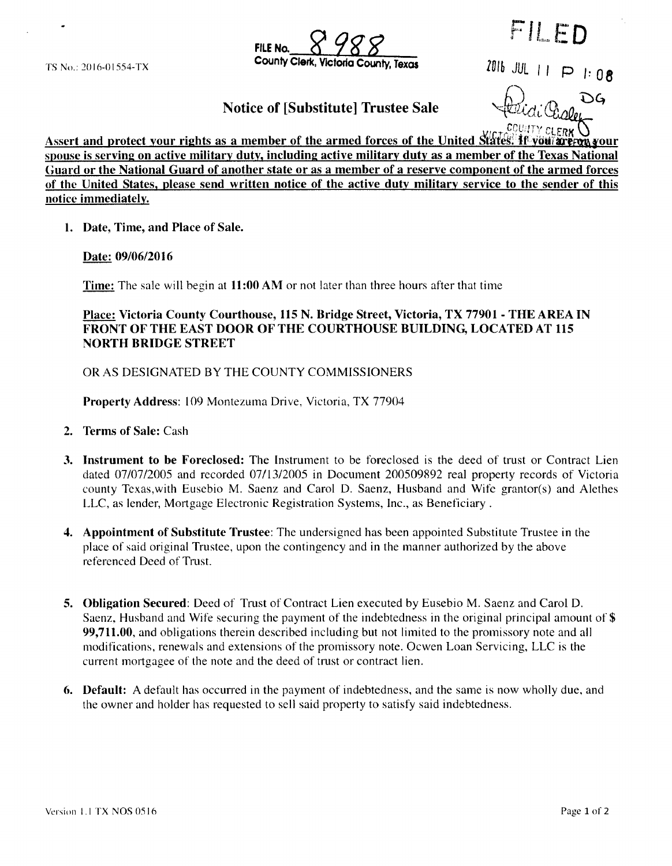**FILE No.** TS No.: 2016-01554-TX **County Clerk, Victoria County, Texas** 1916 JUL  $\vert \vert \vert \vert \vert$  i  $\vert 0$  **8** 

FILED

6.1) Notice of [Substitute] Trustee Sale

ひム

Assert and protect your rights as a member of the armed forces of the United States: **IT you? are ron your** spouse is serving on active military duty, including active military duty as a member of the Texas National Guard or the National Guard of another state or as a member of a reserve component of the armed forces of the United States, please send written notice of the active duty military service to the sender of this notice immediately.

1. Date, Time, and Place of Sale.

Date: 09/06/2016

Time: The sale will begin at 11:00 AM or not later than three hours after that time

Place: Victoria County Courthouse, 115 N. Bridge Street, Victoria, TX 77901 - THE AREA IN FRONT OF THE EAST DOOR OF THE COURTHOUSE BUILDING, LOCATED AT 115 NORTH BRIDGE STREET

OR AS DESIGNATED BY THE COUNTY COMMISSIONERS

Property Address: 109 Montezuma Drive, Victoria, TX 77904

- 2. Terms of Sale: Cash
- 3. Instrument to be Foreclosed: The Instrument to be foreclosed is the deed of trust or Contract Lien dated 07/07/2005 and recorded 07/13/2005 in Document 200509892 real property records of Victoria county Texas, with Eusebio M. Saenz and Carol D. Saenz, Husband and Wife grantor( s) and Alethes LLC, as lender, Mortgage Electronic Registration Systems, Inc., as Beneficiary .
- 4. Appointment of Substitute Trustee: The undersigned has been appointed Substitute Trustee in the place of said original Trustee, upon the contingency and in the manner authorized by the above referenced Deed of Trust.
- 5. Obligation Secured: Deed of Trust of Contract Lien executed by Eusebio M. Saenz and Carol D. Saenz, Husband and Wife securing the payment of the indebtedness in the original principal amount of \$ 99,711. 00, and obligations therein described including but not limited to the promissory note and all modifications, renewals and extensions of the promissory note. Ocwen Loan Servicing, LLC is the current mortgagee of the note and the deed of trust or contract lien.
- 6. Default: A default has occurred in the payment of indebtedness, and the same is now wholly due, and the owner and holder has requested to sell said property to satisfy said indebtedness.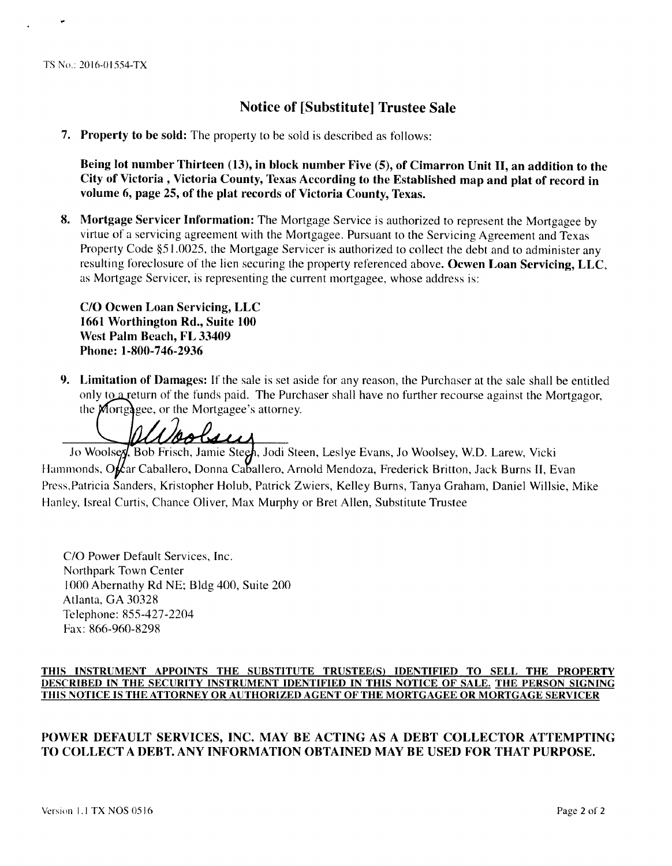#### TS No.: 2016-01554-TX

# Notice of [Substitute] Trustee Sale

7. Property to be sold: The property to be sold is described as follows:

Being lot number Thirteen (13), in block number Five (5), of Cimarron Unit II, an addition to the City of Victoria , Victoria County, Texas According to the Established map and plat of record in volume 6, page 25, of the plat records of Victoria County, Texas.

8. Mortgage Servicer Information: The Mortgage Service is authorized to represent the Mortgagee by virtue of <sup>a</sup> servicing agreement with the Mortgagee. Pursuant to the Servicing Agreement and Texas Property Code §51.0025, the Mortgage Servicer is authorized to collect the debt and to administer any resulting foreclosure of the lien securing the property referenced above. Ocwen Loan Servicing, LLC, as Mortgage Servicer, is representing the current mortgagee, whose address is:

C/O Ocwen Loan Servicing, LLC 1661 Worthington Rd., Suite 100 West Palm Beach, FL 33409 Phone: 1-800-746-2936

9. Limitation of Damages: If the sale is set aside for any reason, the Purchaser at the sale shall be entitled only to  $\alpha$  return of the funds paid. The Purchaser shall have no further recourse against the Mortgagor,

the Mortgagee, or the Mortgagee's attorney.

Jo Woolsey, Bob Frisch, Jamie Steen, Jodi Steen, Leslye Evans, Jo Woolsey, W.D. Larew, Vicki Hammonds, Oftar Caballero, Donna Caballero, Arnold Mendoza, Frederick Britton, Jack Burns II, Evan Press, Patricia Sanders, Kristopher Holub, Patrick Zwiers, Kelley Burns, Tanya Graham, Daniel Willsie, Mike Hanley, Isreal Curtis, Chance Oliver, Max Murphy or Bret Allen, Substitute Trustee

C/O Power Default Services, Inc. Northpark Town Center 1000 Abernathy Rd NE: Bldg 400, Suite 200 Atlanta, GA 30328 Telephone: 855-427-2204 Fax: 866-960-8298

#### THIS INSTRUMENT APPOINTS THE SUBSTITUTE TRUSTEE(S) IDENTIFIED TO SELL THE PROPERTY DESCRIBED IN THE SECURITY INSTRUMENT IDENTIFIED IN THIS NOTICE OF SALE. THE PERSON SIGNING THIS NOTICE IS THE ATTORNEY OR AUTHORIZED AGENT OF THE MORTGAGEE OR MORTGAGE SERVICER

#### POWER DEFAULT SERVICES, INC. MAY BE ACTING AS A DEBT COLLECTOR ATTEMPTING TO COLLECT A DEBT. ANY INFORMATION OBTAINED MAY BE USED FOR THAT PURPOSE.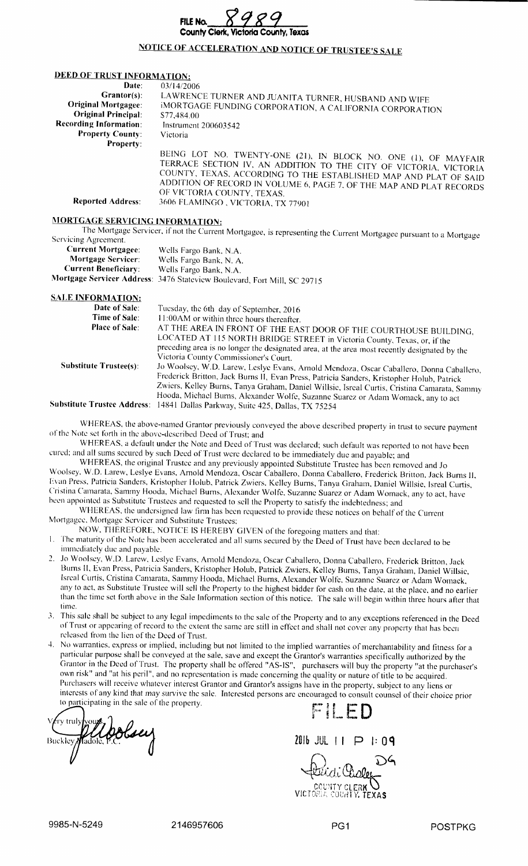

## NOTICE OF ACCELERATION AND NOTICE OF TRUSTEE'S SALE

#### DEED OF TRUST INFORMATION:

| Date:                         | 03/14/2006                                                                                                                                                                                                                                                                                                    |
|-------------------------------|---------------------------------------------------------------------------------------------------------------------------------------------------------------------------------------------------------------------------------------------------------------------------------------------------------------|
| $Grantor(s):$                 | LAWRENCE TURNER AND JUANITA TURNER, HUSBAND AND WIFE                                                                                                                                                                                                                                                          |
| <b>Original Mortgagee:</b>    | iMORTGAGE FUNDING CORPORATION, A CALIFORNIA CORPORATION                                                                                                                                                                                                                                                       |
| <b>Original Principal:</b>    | \$77,484.00                                                                                                                                                                                                                                                                                                   |
| <b>Recording Information:</b> | Instrument 200603542                                                                                                                                                                                                                                                                                          |
| <b>Property County:</b>       | Victoria                                                                                                                                                                                                                                                                                                      |
| <b>Property:</b>              |                                                                                                                                                                                                                                                                                                               |
|                               | BEING LOT NO. TWENTY-ONE (21), IN BLOCK NO. ONE (1), OF MAYFAIR<br>TERRACE SECTION IV, AN ADDITION TO THE CITY OF VICTORIA, VICTORIA<br>COUNTY, TEXAS, ACCORDING TO THE ESTABLISHED MAP AND PLAT OF SAID<br>ADDITION OF RECORD IN VOLUME 6, PAGE 7, OF THE MAP AND PLAT RECORDS<br>OF VICTORIA COUNTY, TEXAS. |
| <b>Reported Address:</b>      | 3606 FLAMINGO, VICTORIA, TX 77901                                                                                                                                                                                                                                                                             |

### MORTGAGE SERVICING INFORMATION:

The Mortgage Servicer, if not the Current Mortgagee, is representing the Current Mortgagee pursuant to <sup>a</sup> Mortgage Servicing Agreement.

| <b>Current Mortgagee:</b>   | Wells Fargo Bank, N.A.                                                   |
|-----------------------------|--------------------------------------------------------------------------|
| <b>Mortgage Servicer:</b>   | Wells Fargo Bank, N. A.                                                  |
| <b>Current Beneficiary:</b> | Wells Fargo Bank, N.A.                                                   |
|                             | Mortgage Servicer Address: 3476 Stateview Boulevard, Fort Mill, SC 29715 |

#### SALE INFORMATION:

| Date of Sale:                 | Tuesday, the 6th day of September, 2016                                                                                                                                                                                                                                                                                       |
|-------------------------------|-------------------------------------------------------------------------------------------------------------------------------------------------------------------------------------------------------------------------------------------------------------------------------------------------------------------------------|
| Time of Sale:                 | 11:00AM or within three hours thereafter.                                                                                                                                                                                                                                                                                     |
| <b>Place of Sale:</b>         | AT THE AREA IN FRONT OF THE EAST DOOR OF THE COURTHOUSE BUILDING.<br>LOCATED AT 115 NORTH BRIDGE STREET in Victoria County, Texas, or, if the<br>preceding area is no longer the designated area, at the area most recently designated by the                                                                                 |
| <b>Substitute Trustee(s):</b> | Victoria County Commissioner's Court.<br>Jo Woolsey, W.D. Larew, Leslye Evans, Arnold Mendoza, Oscar Caballero, Donna Caballero,<br>Frederick Britton, Jack Burns II, Evan Press, Patricia Sanders, Kristopher Holub, Patrick<br>Zwiers, Kelley Burns, Tanya Graham, Daniel Willsie, Isreal Curtis, Cristina Camarata, Samnıy |
|                               | Hooda, Michael Burns, Alexander Wolfe, Suzanne Suarez or Adam Womack, any to act<br>Substitute Trustee Address: 14841 Dallas Parkway, Suite 425, Dallas, TX 75254                                                                                                                                                             |

WHEREAS, the above-named Grantor previously conveyed the above described property in trust to secure payment of the Note set forth in the above- described Deed of Trust; and

WHEREAS, <sup>a</sup> default under the Note and Deed of Trust was declared; such default was reported to not have been cured; and all sums secured by such Deed of Trust were declared to be immediately due and payable; and

WHEREAS, the original Trustee and any previously appointed Substitute Trustee has been removed and Jo Woolsey, W. D. Larew, Leslye Evans, Arnold Mendoza, Oscar Caballero, Donna Caballero, Frederick Britton, Jack Burns 11, Evan Press, Patricia Sanders, Kristopher Holub, Patrick Zwiers, Kelley Burns, Tanya Graham, Daniel Willsie, Isreal Curtis, Cristina Camarata, Sammy Hooda, Michael Burns, Alexander Wolfe, Suzanne Suarez or Adam Womack, any to act, have been appointed as Substitute Trustees and requested to sell the Property to satisfy the indebtedness; and

WHEREAS, the undersigned law firm has been requested to provide these notices on behalf of the Current Mortgagee, Mortgage Servicer and Substitute Trustees;

NOW, THEREFORE, NOTICE IS HEREBY GIVEN of the foregoing matters and that:

I. The maturity of the Note has been accelerated and all sums secured by the Deed of Trust have been declared to be immediately due and payable.

2. Jo Woolsey, W. D. Larew, Leslye Evans, Arnold Mendoza, Oscar Caballero, Donna Caballero, Frederick Britton, Jack Bums 11, Evan Press, Patricia Sanders, Kristopher Holub, Patrick Zwiers, Kelley Burns, Tanya Graham, Daniel Willsie, Isreal Curtis, Cristina Camarata, Sammy Hooda, Michael Burns, Alexander Wolfe, Suzanne Suarez or Adam Womack, any to act, as Substitute Trustee will sell the Property to the highest bidder for cash on the date, at the place, and no earlier than the time set forth above in the Sale Information section of this notice. The sale will begin within three hours after that time.

3. This sale shall be subject to any legal impediments to the sale of the Property and to any exceptions referenced in the Deed of Trust or appearing of record to the extent the same are still in effect and shall not cover any property that has been released from the lien of the Deed of Trust.

4. No warranties, express or implied, including but not limited to the implied warranties of merchantability and fitness for <sup>a</sup> particular purpose shall be conveyed at the sale, save and except the Grantor's warranties specifically authorized by the Grantor in the Deed of Trust. The property shall be offered "AS-IS", purchasers will buy the property "at the purchaser's own risk" and "at his peril", and no representation is made concerning the quality or nature of title to be acquired. Purchasers will receive whatever interest Grantor and Grantor's assigns have in the property, subject to any liens or interests of any kind that may survive the sale. Interested persons are encouraged to consult counsel of their choice prior to participating in the sale of the property.

 $V$ *f* ry truly yours,  $\vert$  $Buckley Model, P.C.$ 

FILED

 $\mathcal{D}$ م

i'di cculTY CLERK VICTORIA COUNTY. TEXAS